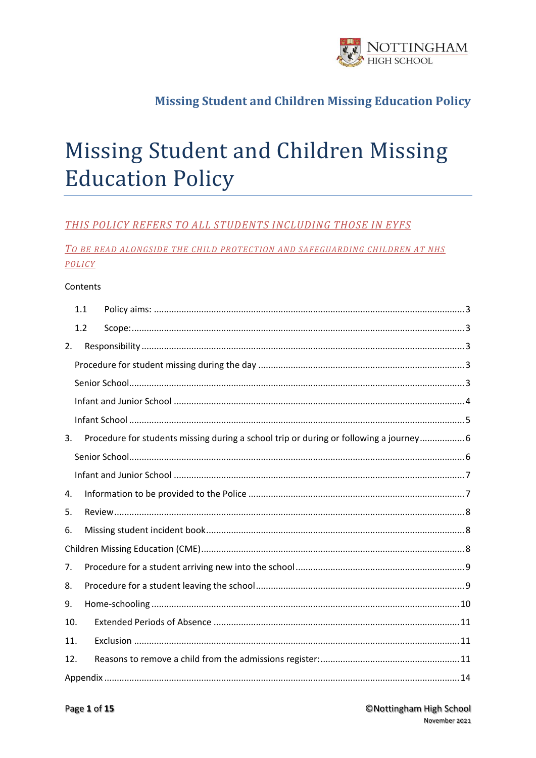

# **Missing Student and Children Missing Education Policy**

### THIS POLICY REFERS TO ALL STUDENTS INCLUDING THOSE IN EYFS

TO BE READ ALONGSIDE THE CHILD PROTECTION AND SAFEGUARDING CHILDREN AT NHS POLICY

#### Contents

|     | 1.1 |                                                                                        |  |
|-----|-----|----------------------------------------------------------------------------------------|--|
|     | 1.2 |                                                                                        |  |
| 2.  |     |                                                                                        |  |
|     |     |                                                                                        |  |
|     |     |                                                                                        |  |
|     |     |                                                                                        |  |
|     |     |                                                                                        |  |
| 3.  |     | Procedure for students missing during a school trip or during or following a journey 6 |  |
|     |     |                                                                                        |  |
|     |     |                                                                                        |  |
| 4.  |     |                                                                                        |  |
| 5.  |     |                                                                                        |  |
| 6.  |     |                                                                                        |  |
|     |     |                                                                                        |  |
| 7.  |     |                                                                                        |  |
| 8.  |     |                                                                                        |  |
| 9.  |     |                                                                                        |  |
| 10. |     |                                                                                        |  |
| 11. |     |                                                                                        |  |
| 12. |     |                                                                                        |  |
|     |     |                                                                                        |  |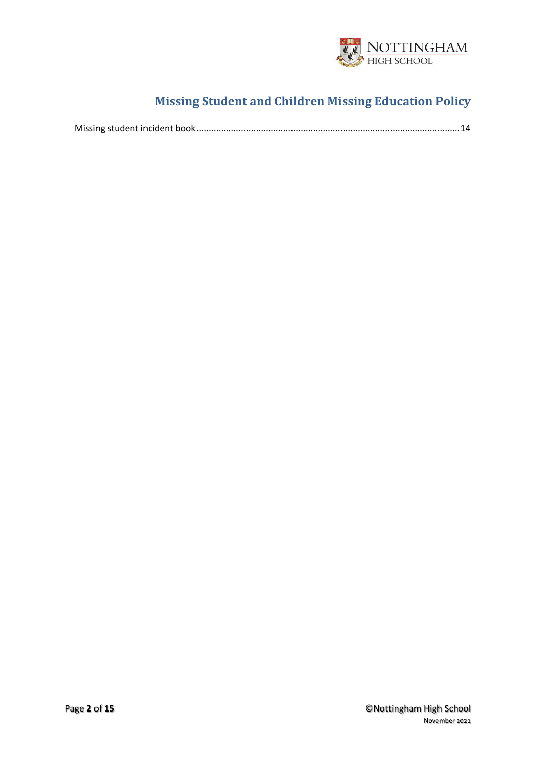

|--|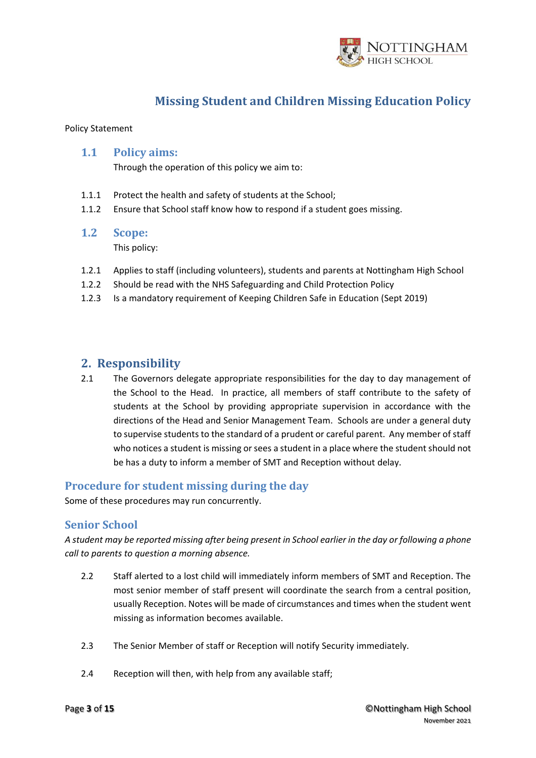

Policy Statement

#### <span id="page-2-0"></span>**1.1 Policy aims:**

Through the operation of this policy we aim to:

- 1.1.1 Protect the health and safety of students at the School;
- 1.1.2 Ensure that School staff know how to respond if a student goes missing.

#### <span id="page-2-1"></span>**1.2 Scope:**

This policy:

- 1.2.1 Applies to staff (including volunteers), students and parents at Nottingham High School
- 1.2.2 Should be read with the NHS Safeguarding and Child Protection Policy
- 1.2.3 Is a mandatory requirement of Keeping Children Safe in Education (Sept 2019)

### <span id="page-2-2"></span>**2. Responsibility**

2.1 The Governors delegate appropriate responsibilities for the day to day management of the School to the Head. In practice, all members of staff contribute to the safety of students at the School by providing appropriate supervision in accordance with the directions of the Head and Senior Management Team. Schools are under a general duty to supervise students to the standard of a prudent or careful parent. Any member of staff who notices a student is missing or sees a student in a place where the student should not be has a duty to inform a member of SMT and Reception without delay.

#### <span id="page-2-3"></span>**Procedure for student missing during the day**

Some of these procedures may run concurrently.

#### <span id="page-2-4"></span>**Senior School**

*A student may be reported missing after being present in School earlier in the day or following a phone call to parents to question a morning absence.* 

- 2.2 Staff alerted to a lost child will immediately inform members of SMT and Reception. The most senior member of staff present will coordinate the search from a central position, usually Reception. Notes will be made of circumstances and times when the student went missing as information becomes available.
- 2.3 The Senior Member of staff or Reception will notify Security immediately.
- 2.4 Reception will then, with help from any available staff;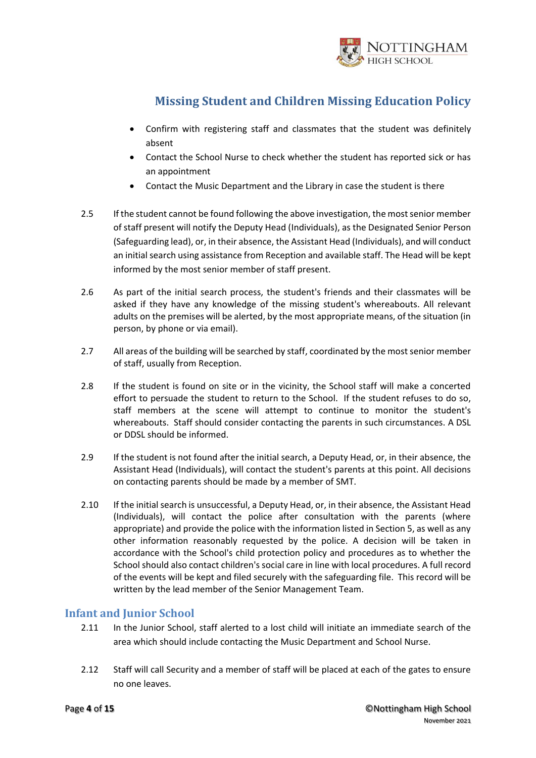

- Confirm with registering staff and classmates that the student was definitely absent
- Contact the School Nurse to check whether the student has reported sick or has an appointment
- Contact the Music Department and the Library in case the student is there
- 2.5 If the student cannot be found following the above investigation, the most senior member of staff present will notify the Deputy Head (Individuals), as the Designated Senior Person (Safeguarding lead), or, in their absence, the Assistant Head (Individuals), and will conduct an initial search using assistance from Reception and available staff. The Head will be kept informed by the most senior member of staff present.
- 2.6 As part of the initial search process, the student's friends and their classmates will be asked if they have any knowledge of the missing student's whereabouts. All relevant adults on the premises will be alerted, by the most appropriate means, of the situation (in person, by phone or via email).
- 2.7 All areas of the building will be searched by staff, coordinated by the most senior member of staff, usually from Reception.
- 2.8 If the student is found on site or in the vicinity, the School staff will make a concerted effort to persuade the student to return to the School. If the student refuses to do so, staff members at the scene will attempt to continue to monitor the student's whereabouts. Staff should consider contacting the parents in such circumstances. A DSL or DDSL should be informed.
- 2.9 If the student is not found after the initial search, a Deputy Head, or, in their absence, the Assistant Head (Individuals), will contact the student's parents at this point. All decisions on contacting parents should be made by a member of SMT.
- 2.10 If the initial search is unsuccessful, a Deputy Head, or, in their absence, the Assistant Head (Individuals), will contact the police after consultation with the parents (where appropriate) and provide the police with the information listed in Section 5, as well as any other information reasonably requested by the police. A decision will be taken in accordance with the School's child protection policy and procedures as to whether the School should also contact children's social care in line with local procedures. A full record of the events will be kept and filed securely with the safeguarding file. This record will be written by the lead member of the Senior Management Team.

#### <span id="page-3-0"></span>**Infant and Junior School**

- 2.11 In the Junior School, staff alerted to a lost child will initiate an immediate search of the area which should include contacting the Music Department and School Nurse.
- 2.12 Staff will call Security and a member of staff will be placed at each of the gates to ensure no one leaves.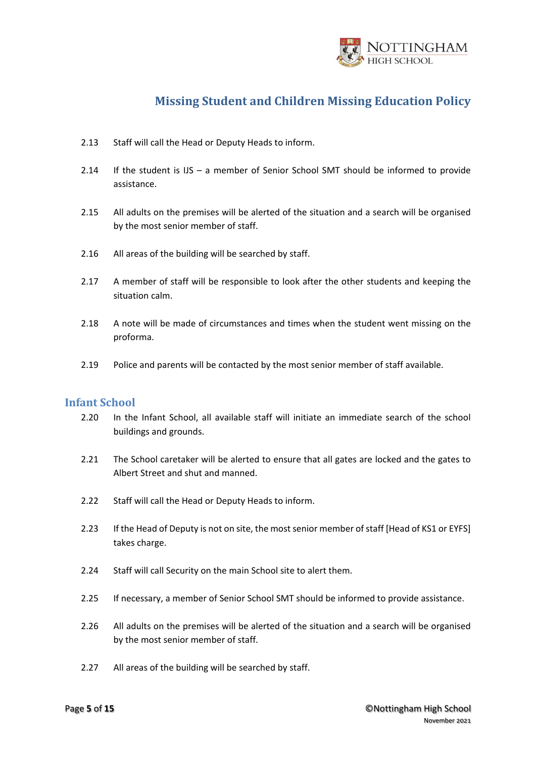

- 2.13 Staff will call the Head or Deputy Heads to inform.
- 2.14 If the student is IJS a member of Senior School SMT should be informed to provide assistance.
- 2.15 All adults on the premises will be alerted of the situation and a search will be organised by the most senior member of staff.
- 2.16 All areas of the building will be searched by staff.
- 2.17 A member of staff will be responsible to look after the other students and keeping the situation calm.
- 2.18 A note will be made of circumstances and times when the student went missing on the proforma.
- 2.19 Police and parents will be contacted by the most senior member of staff available.

#### <span id="page-4-0"></span>**Infant School**

- 2.20 In the Infant School, all available staff will initiate an immediate search of the school buildings and grounds.
- 2.21 The School caretaker will be alerted to ensure that all gates are locked and the gates to Albert Street and shut and manned.
- 2.22 Staff will call the Head or Deputy Heads to inform.
- 2.23 If the Head of Deputy is not on site, the most senior member of staff [Head of KS1 or EYFS] takes charge.
- 2.24 Staff will call Security on the main School site to alert them.
- 2.25 If necessary, a member of Senior School SMT should be informed to provide assistance.
- 2.26 All adults on the premises will be alerted of the situation and a search will be organised by the most senior member of staff.
- 2.27 All areas of the building will be searched by staff.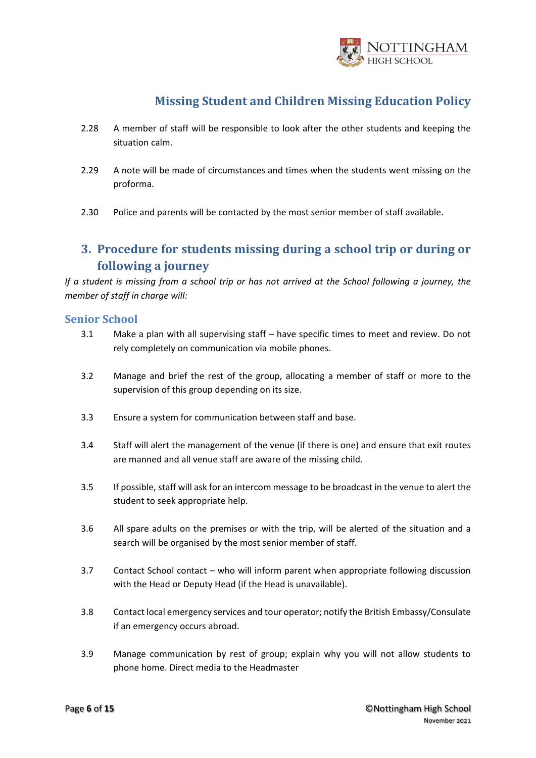

- 2.28 A member of staff will be responsible to look after the other students and keeping the situation calm.
- 2.29 A note will be made of circumstances and times when the students went missing on the proforma.
- 2.30 Police and parents will be contacted by the most senior member of staff available.

### <span id="page-5-0"></span>**3. Procedure for students missing during a school trip or during or following a journey**

*If a student is missing from a school trip or has not arrived at the School following a journey, the member of staff in charge will:*

#### <span id="page-5-1"></span>**Senior School**

- 3.1 Make a plan with all supervising staff have specific times to meet and review. Do not rely completely on communication via mobile phones.
- 3.2 Manage and brief the rest of the group, allocating a member of staff or more to the supervision of this group depending on its size.
- 3.3 Ensure a system for communication between staff and base.
- 3.4 Staff will alert the management of the venue (if there is one) and ensure that exit routes are manned and all venue staff are aware of the missing child.
- 3.5 If possible, staff will ask for an intercom message to be broadcast in the venue to alert the student to seek appropriate help.
- 3.6 All spare adults on the premises or with the trip, will be alerted of the situation and a search will be organised by the most senior member of staff.
- 3.7 Contact School contact who will inform parent when appropriate following discussion with the Head or Deputy Head (if the Head is unavailable).
- 3.8 Contact local emergency services and tour operator; notify the British Embassy/Consulate if an emergency occurs abroad.
- 3.9 Manage communication by rest of group; explain why you will not allow students to phone home. Direct media to the Headmaster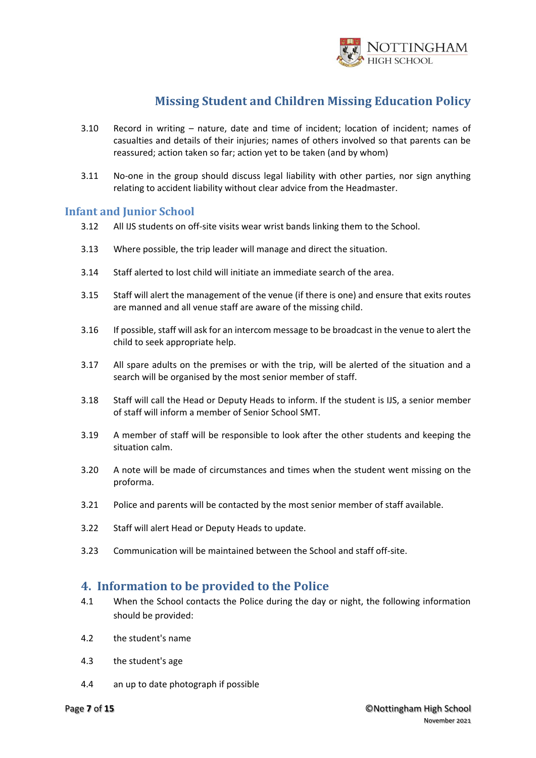

- 3.10 Record in writing nature, date and time of incident; location of incident; names of casualties and details of their injuries; names of others involved so that parents can be reassured; action taken so far; action yet to be taken (and by whom)
- 3.11 No-one in the group should discuss legal liability with other parties, nor sign anything relating to accident liability without clear advice from the Headmaster.

#### <span id="page-6-0"></span>**Infant and Junior School**

- 3.12 All IJS students on off-site visits wear wrist bands linking them to the School.
- 3.13 Where possible, the trip leader will manage and direct the situation.
- 3.14 Staff alerted to lost child will initiate an immediate search of the area.
- 3.15 Staff will alert the management of the venue (if there is one) and ensure that exits routes are manned and all venue staff are aware of the missing child.
- 3.16 If possible, staff will ask for an intercom message to be broadcast in the venue to alert the child to seek appropriate help.
- 3.17 All spare adults on the premises or with the trip, will be alerted of the situation and a search will be organised by the most senior member of staff.
- 3.18 Staff will call the Head or Deputy Heads to inform. If the student is IJS, a senior member of staff will inform a member of Senior School SMT.
- 3.19 A member of staff will be responsible to look after the other students and keeping the situation calm.
- 3.20 A note will be made of circumstances and times when the student went missing on the proforma.
- 3.21 Police and parents will be contacted by the most senior member of staff available.
- 3.22 Staff will alert Head or Deputy Heads to update.
- 3.23 Communication will be maintained between the School and staff off-site.

#### <span id="page-6-1"></span>**4. Information to be provided to the Police**

- 4.1 When the School contacts the Police during the day or night, the following information should be provided:
- 4.2 the student's name
- 4.3 the student's age
- 4.4 an up to date photograph if possible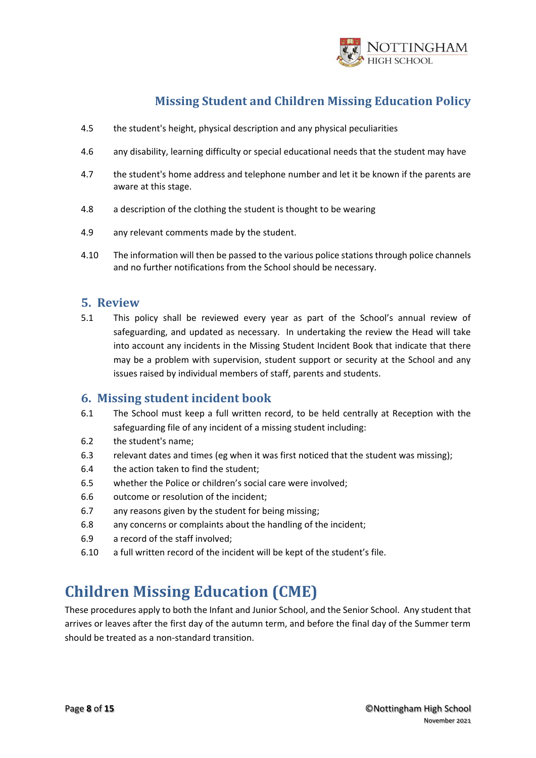

- 4.5 the student's height, physical description and any physical peculiarities
- 4.6 any disability, learning difficulty or special educational needs that the student may have
- 4.7 the student's home address and telephone number and let it be known if the parents are aware at this stage.
- 4.8 a description of the clothing the student is thought to be wearing
- 4.9 any relevant comments made by the student.
- 4.10 The information will then be passed to the various police stations through police channels and no further notifications from the School should be necessary.

#### <span id="page-7-0"></span>**5. Review**

5.1 This policy shall be reviewed every year as part of the School's annual review of safeguarding, and updated as necessary. In undertaking the review the Head will take into account any incidents in the Missing Student Incident Book that indicate that there may be a problem with supervision, student support or security at the School and any issues raised by individual members of staff, parents and students.

#### <span id="page-7-1"></span>**6. Missing student incident book**

- 6.1 The School must keep a full written record, to be held centrally at Reception with the safeguarding file of any incident of a missing student including:
- 6.2 the student's name;
- 6.3 relevant dates and times (eg when it was first noticed that the student was missing);
- 6.4 the action taken to find the student;
- 6.5 whether the Police or children's social care were involved;
- 6.6 outcome or resolution of the incident;
- 6.7 any reasons given by the student for being missing;
- 6.8 any concerns or complaints about the handling of the incident;
- 6.9 a record of the staff involved;
- 6.10 a full written record of the incident will be kept of the student's file.

# <span id="page-7-2"></span>**Children Missing Education (CME)**

These procedures apply to both the Infant and Junior School, and the Senior School. Any student that arrives or leaves after the first day of the autumn term, and before the final day of the Summer term should be treated as a non-standard transition.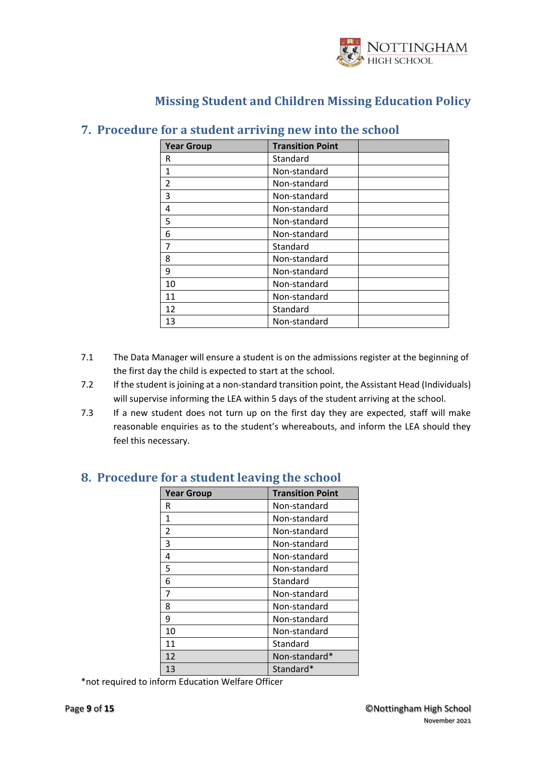

| <b>Year Group</b> | <b>Transition Point</b> |  |  |  |
|-------------------|-------------------------|--|--|--|
| R                 | Standard                |  |  |  |
| 1                 | Non-standard            |  |  |  |
| $\overline{2}$    | Non-standard            |  |  |  |
| 3                 | Non-standard            |  |  |  |
| 4                 | Non-standard            |  |  |  |
| 5                 | Non-standard            |  |  |  |
| 6                 | Non-standard            |  |  |  |
| $\overline{7}$    | Standard                |  |  |  |
| 8                 | Non-standard            |  |  |  |
| 9                 | Non-standard            |  |  |  |
| 10                | Non-standard            |  |  |  |
| 11                | Non-standard            |  |  |  |
| 12                | Standard                |  |  |  |
| 13                | Non-standard            |  |  |  |
|                   |                         |  |  |  |

### <span id="page-8-0"></span>**7. Procedure for a student arriving new into the school**

- 7.1 The Data Manager will ensure a student is on the admissions register at the beginning of the first day the child is expected to start at the school.
- 7.2 If the student is joining at a non-standard transition point, the Assistant Head (Individuals) will supervise informing the LEA within 5 days of the student arriving at the school.
- 7.3 If a new student does not turn up on the first day they are expected, staff will make reasonable enquiries as to the student's whereabouts, and inform the LEA should they feel this necessary.

| <b>Year Group</b> | <b>Transition Point</b> |  |
|-------------------|-------------------------|--|
| R                 | Non-standard            |  |
| 1                 | Non-standard            |  |
| 2                 | Non-standard            |  |
| 3                 | Non-standard            |  |
| 4                 | Non-standard            |  |
| 5                 | Non-standard            |  |
| 6                 | Standard                |  |
| 7                 | Non-standard            |  |
| 8                 | Non-standard            |  |
| 9                 | Non-standard            |  |
| 10                | Non-standard            |  |
| 11                | Standard                |  |
| 12                | Non-standard*           |  |
| 13                | Standard*               |  |

### <span id="page-8-1"></span>**8. Procedure for a student leaving the school**

\*not required to inform Education Welfare Officer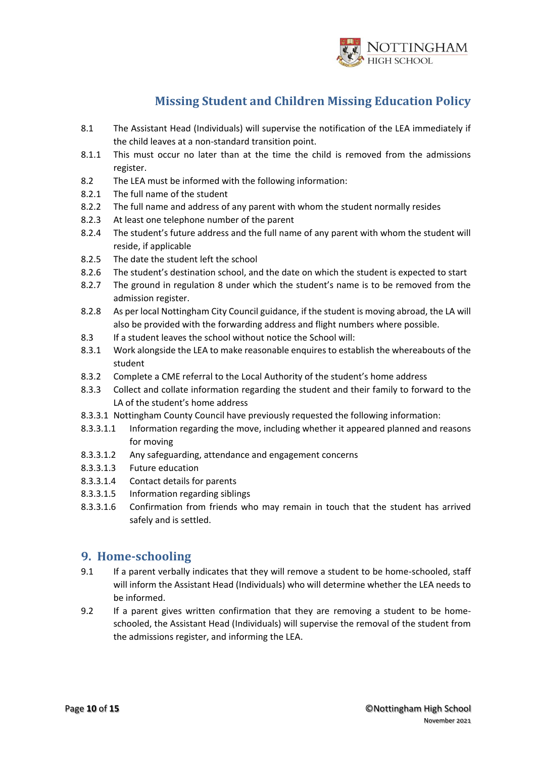

- 8.1 The Assistant Head (Individuals) will supervise the notification of the LEA immediately if the child leaves at a non-standard transition point.
- 8.1.1 This must occur no later than at the time the child is removed from the admissions register.
- 8.2 The LEA must be informed with the following information:
- 8.2.1 The full name of the student
- 8.2.2 The full name and address of any parent with whom the student normally resides
- 8.2.3 At least one telephone number of the parent
- 8.2.4 The student's future address and the full name of any parent with whom the student will reside, if applicable
- 8.2.5 The date the student left the school
- 8.2.6 The student's destination school, and the date on which the student is expected to start
- 8.2.7 The ground in regulation 8 under which the student's name is to be removed from the admission register.
- 8.2.8 As per local Nottingham City Council guidance, if the student is moving abroad, the LA will also be provided with the forwarding address and flight numbers where possible.
- 8.3 If a student leaves the school without notice the School will:
- 8.3.1 Work alongside the LEA to make reasonable enquires to establish the whereabouts of the student
- 8.3.2 Complete a CME referral to the Local Authority of the student's home address
- 8.3.3 Collect and collate information regarding the student and their family to forward to the LA of the student's home address
- 8.3.3.1 Nottingham County Council have previously requested the following information:
- 8.3.3.1.1 Information regarding the move, including whether it appeared planned and reasons for moving
- 8.3.3.1.2 Any safeguarding, attendance and engagement concerns
- 8.3.3.1.3 Future education
- 8.3.3.1.4 Contact details for parents
- 8.3.3.1.5 Information regarding siblings
- 8.3.3.1.6 Confirmation from friends who may remain in touch that the student has arrived safely and is settled.

#### <span id="page-9-0"></span>**9. Home-schooling**

- 9.1 If a parent verbally indicates that they will remove a student to be home-schooled, staff will inform the Assistant Head (Individuals) who will determine whether the LEA needs to be informed.
- 9.2 If a parent gives written confirmation that they are removing a student to be homeschooled, the Assistant Head (Individuals) will supervise the removal of the student from the admissions register, and informing the LEA.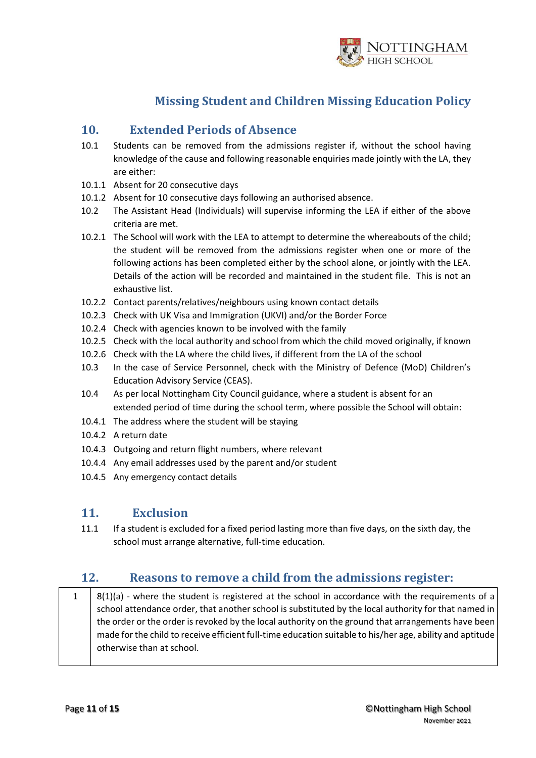

### <span id="page-10-0"></span>**10. Extended Periods of Absence**

- 10.1 Students can be removed from the admissions register if, without the school having knowledge of the cause and following reasonable enquiries made jointly with the LA, they are either:
- 10.1.1 Absent for 20 consecutive days
- 10.1.2 Absent for 10 consecutive days following an authorised absence.
- 10.2 The Assistant Head (Individuals) will supervise informing the LEA if either of the above criteria are met.
- 10.2.1 The School will work with the LEA to attempt to determine the whereabouts of the child; the student will be removed from the admissions register when one or more of the following actions has been completed either by the school alone, or jointly with the LEA. Details of the action will be recorded and maintained in the student file. This is not an exhaustive list.
- 10.2.2 Contact parents/relatives/neighbours using known contact details
- 10.2.3 Check with UK Visa and Immigration (UKVI) and/or the Border Force
- 10.2.4 Check with agencies known to be involved with the family
- 10.2.5 Check with the local authority and school from which the child moved originally, if known
- 10.2.6 Check with the LA where the child lives, if different from the LA of the school
- 10.3 In the case of Service Personnel, check with the Ministry of Defence (MoD) Children's Education Advisory Service (CEAS).
- 10.4 As per local Nottingham City Council guidance, where a student is absent for an extended period of time during the school term, where possible the School will obtain:
- 10.4.1 The address where the student will be staying
- 10.4.2 A return date
- 10.4.3 Outgoing and return flight numbers, where relevant
- 10.4.4 Any email addresses used by the parent and/or student
- 10.4.5 Any emergency contact details

### <span id="page-10-1"></span>**11. Exclusion**

11.1 If a student is excluded for a fixed period lasting more than five days, on the sixth day, the school must arrange alternative, full-time education.

### <span id="page-10-2"></span>**12. Reasons to remove a child from the admissions register:**

 $1 \mid 8(1)(a)$  - where the student is registered at the school in accordance with the requirements of a school attendance order, that another school is substituted by the local authority for that named in the order or the order is revoked by the local authority on the ground that arrangements have been made for the child to receive efficient full-time education suitable to his/her age, ability and aptitude otherwise than at school.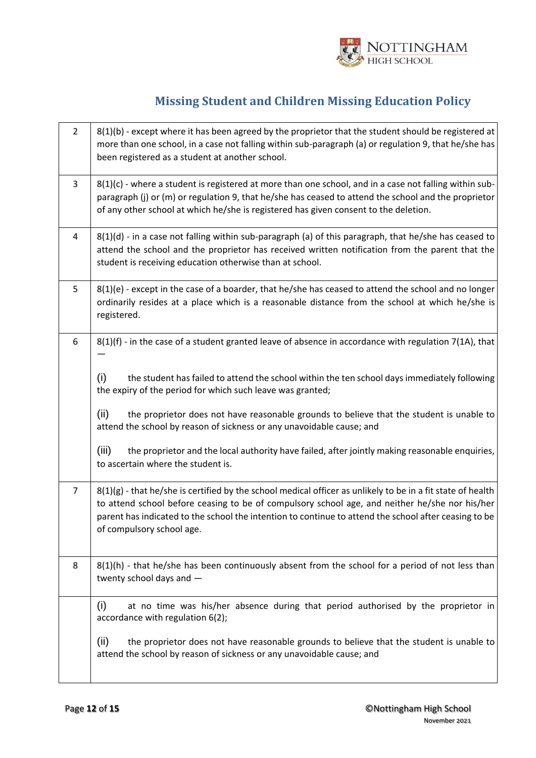

| $\overline{2}$ | 8(1)(b) - except where it has been agreed by the proprietor that the student should be registered at<br>more than one school, in a case not falling within sub-paragraph (a) or regulation 9, that he/she has<br>been registered as a student at another school.                                                                                      |
|----------------|-------------------------------------------------------------------------------------------------------------------------------------------------------------------------------------------------------------------------------------------------------------------------------------------------------------------------------------------------------|
| $\mathbf{3}$   | $8(1)(c)$ - where a student is registered at more than one school, and in a case not falling within sub-<br>paragraph (j) or (m) or regulation 9, that he/she has ceased to attend the school and the proprietor<br>of any other school at which he/she is registered has given consent to the deletion.                                              |
| 4              | $8(1)(d)$ - in a case not falling within sub-paragraph (a) of this paragraph, that he/she has ceased to<br>attend the school and the proprietor has received written notification from the parent that the<br>student is receiving education otherwise than at school.                                                                                |
| 5              | $8(1)(e)$ - except in the case of a boarder, that he/she has ceased to attend the school and no longer<br>ordinarily resides at a place which is a reasonable distance from the school at which he/she is<br>registered.                                                                                                                              |
| 6              | $8(1)(f)$ - in the case of a student granted leave of absence in accordance with regulation 7(1A), that                                                                                                                                                                                                                                               |
|                | (i)<br>the student has failed to attend the school within the ten school days immediately following<br>the expiry of the period for which such leave was granted;                                                                                                                                                                                     |
|                | (ii)<br>the proprietor does not have reasonable grounds to believe that the student is unable to<br>attend the school by reason of sickness or any unavoidable cause; and                                                                                                                                                                             |
|                | (iii)<br>the proprietor and the local authority have failed, after jointly making reasonable enquiries,<br>to ascertain where the student is.                                                                                                                                                                                                         |
| $\overline{7}$ | $8(1)(g)$ - that he/she is certified by the school medical officer as unlikely to be in a fit state of health<br>to attend school before ceasing to be of compulsory school age, and neither he/she nor his/her<br>parent has indicated to the school the intention to continue to attend the school after ceasing to be<br>of compulsory school age. |
| 8              | $8(1)(h)$ - that he/she has been continuously absent from the school for a period of not less than<br>twenty school days and -                                                                                                                                                                                                                        |
|                | (i)<br>at no time was his/her absence during that period authorised by the proprietor in<br>accordance with regulation 6(2);                                                                                                                                                                                                                          |
|                | (ii)<br>the proprietor does not have reasonable grounds to believe that the student is unable to<br>attend the school by reason of sickness or any unavoidable cause; and                                                                                                                                                                             |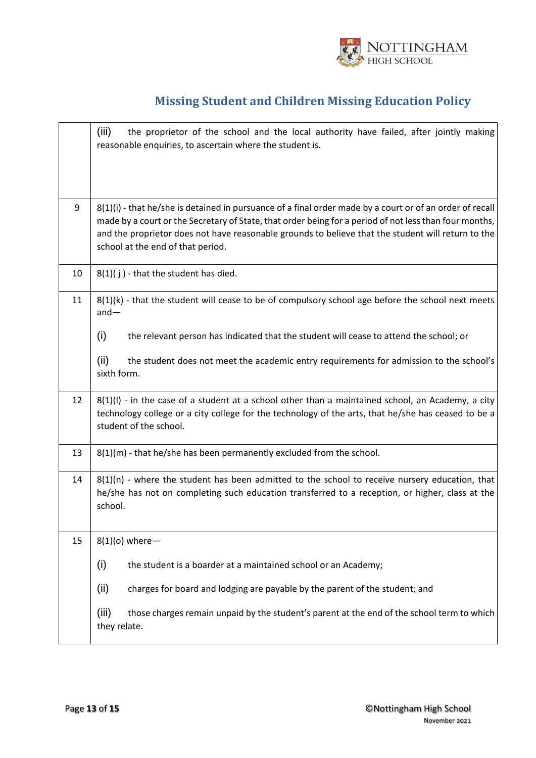

|    | (iii)<br>the proprietor of the school and the local authority have failed, after jointly making<br>reasonable enquiries, to ascertain where the student is.                                                                                                                                                                                                   |
|----|---------------------------------------------------------------------------------------------------------------------------------------------------------------------------------------------------------------------------------------------------------------------------------------------------------------------------------------------------------------|
| 9  | 8(1)(i) - that he/she is detained in pursuance of a final order made by a court or of an order of recall<br>made by a court or the Secretary of State, that order being for a period of not less than four months,<br>and the proprietor does not have reasonable grounds to believe that the student will return to the<br>school at the end of that period. |
| 10 | $8(1)(j)$ - that the student has died.                                                                                                                                                                                                                                                                                                                        |
| 11 | $8(1)(k)$ - that the student will cease to be of compulsory school age before the school next meets<br>$and -$                                                                                                                                                                                                                                                |
|    | (i)<br>the relevant person has indicated that the student will cease to attend the school; or                                                                                                                                                                                                                                                                 |
|    | (ii)<br>the student does not meet the academic entry requirements for admission to the school's<br>sixth form.                                                                                                                                                                                                                                                |
| 12 | $8(1)(I)$ - in the case of a student at a school other than a maintained school, an Academy, a city<br>technology college or a city college for the technology of the arts, that he/she has ceased to be a<br>student of the school.                                                                                                                          |
| 13 | $8(1)(m)$ - that he/she has been permanently excluded from the school.                                                                                                                                                                                                                                                                                        |
| 14 | $8(1)(n)$ - where the student has been admitted to the school to receive nursery education, that<br>he/she has not on completing such education transferred to a reception, or higher, class at the<br>school.                                                                                                                                                |
| 15 | $8(1)(o)$ where-                                                                                                                                                                                                                                                                                                                                              |
|    | (i)<br>the student is a boarder at a maintained school or an Academy;                                                                                                                                                                                                                                                                                         |
|    | (ii)<br>charges for board and lodging are payable by the parent of the student; and                                                                                                                                                                                                                                                                           |
|    | (iii)<br>those charges remain unpaid by the student's parent at the end of the school term to which<br>they relate.                                                                                                                                                                                                                                           |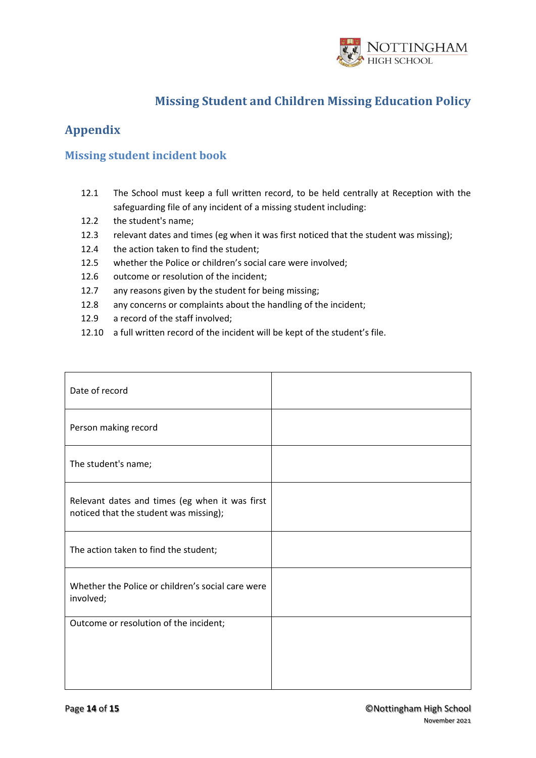

### <span id="page-13-0"></span>**Appendix**

#### <span id="page-13-1"></span>**Missing student incident book**

- 12.1 The School must keep a full written record, to be held centrally at Reception with the safeguarding file of any incident of a missing student including:
- 12.2 the student's name;
- 12.3 relevant dates and times (eg when it was first noticed that the student was missing);
- 12.4 the action taken to find the student;
- 12.5 whether the Police or children's social care were involved;
- 12.6 outcome or resolution of the incident;
- 12.7 any reasons given by the student for being missing;
- 12.8 any concerns or complaints about the handling of the incident;
- 12.9 a record of the staff involved;
- 12.10 a full written record of the incident will be kept of the student's file.

| Date of record                                                                           |  |
|------------------------------------------------------------------------------------------|--|
| Person making record                                                                     |  |
| The student's name;                                                                      |  |
| Relevant dates and times (eg when it was first<br>noticed that the student was missing); |  |
| The action taken to find the student;                                                    |  |
| Whether the Police or children's social care were<br>involved;                           |  |
| Outcome or resolution of the incident;                                                   |  |
|                                                                                          |  |